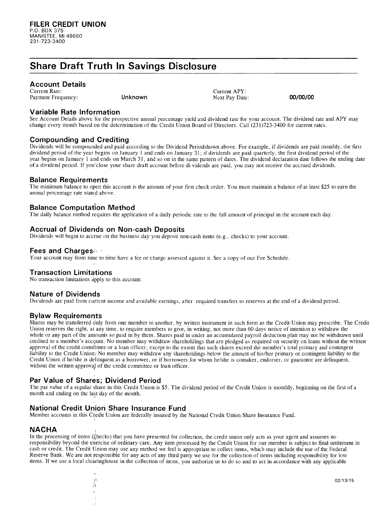# **Share Draft Truth In Savings Disclosure**

### **Account Details**

Current Rate: Payment Frequency:

Current APY: **Unknown** Next Pay Date: **00/00/00** 

## **Variable Rate Information**

See Account Details above for the prospective annual percentage yield and dividend rate for your account. The dividend rate and APY may change every month based on the determination of the Credit Union Board of Directors. Call (231)723-3400 for current rates.

## **Compounding and Crediting**

Dividends will be compounded and paid according to the Dividend Periodshown above. For example, if dividends are paid monthly, the first dividend period of the year begins on January 1 and ends on January 31; if dividends are paid quarterly, the first dividend period of the year begins on January I and ends on March 31, and so on in the same pattern of dates. The dividend declaration date follows the ending date of a dividend period. If you 'close your share draft account before dividends are paid, you may not receive the accrued dividends.

#### **Balance Requirements**

The minimum balance to open this account is the amount of your first check order. You must maintain a balance of at least \$25 to earn the annual percentage rate stated above.

# **Balance Computation Method**

The daily balance method requires the application of a daily periodic rate to the full amount of principal in the account each day.

## **Accrual of Dividends on Non-cash Deposits**

Dividends will begin to accrue on the business day you deposit non-cash items (e.g., checks) to your account.

## **Fees and Charges.·,**

Your account may from time to time have a fee or charge assessed against it. See a copy of our Fee Schedule.

#### **Transaction Limitations**

No transaction limitations apply to this account.

#### **Nature of Dividends**

Dividends are paid from current income and available earnings, after required transfers to reserves at the end of a dividend period.

#### **Bylaw Requirements**

Shares may be transferred only from one member to another, by written instrument in such form as the Credit Union may prescribe. The Credit Union reserves the right, at any time, to require members to give, in writing, not more than 60 days notice of intention to withdraw the whole or any part of the amounts so paid in by them. Shares paid in under an accumulated payroll deduction plan may not be withdrawn until credited to a member's accqunt. No member may withdraw shareholdings that are pledged as required on security on loans without the written approval of the credit committee or a loan officer, except to the extent that such shares exceed the member's total primary and contingent liability to the Credit Union; No member may withdraw any shareholdings below the amount of his/her primary or contingent liability to the Credit Union if he/she is delinquent as a borrower, or if borrowers for whom he/she is comaker, endorser, or guarantor are delinquent, without the written approval. of the credit committee or loan officer.

# **Par Value of Shares; Dividend Period**

'

l'.

 $\mathbb{Q}$  if  $\hat{\bf n}$ 

The par value of a regular share in this Credit Union is \$5. The dividend period of the Credit Union is monthly, beginning on the first of a month and ending on the last day of the month.

# **National Credit Union Share Insurance Fund**

Member accounts in this Credit Union are federally insured by the National Credit Union Share Insurance Fund.

#### **NA CHA** ,

In the processing of items (checks) that you have presented for collection, the credit union only acts as your agent and assumes no responsibility beyond the exercise of ordinary care. Any item processed by the Credit Union for our member is subject to final settlement in cash or credit. The Credit Union may use any method we feel is appropriate to collect items, which may include the use of the Federal Reserve Bank. We are not responsible for any acts of any third party we use for the collection of items including responsibility for lost items. If we use a local clearinghouse in the collection of items, you authorize us to do so and to act in accordance with any applicable